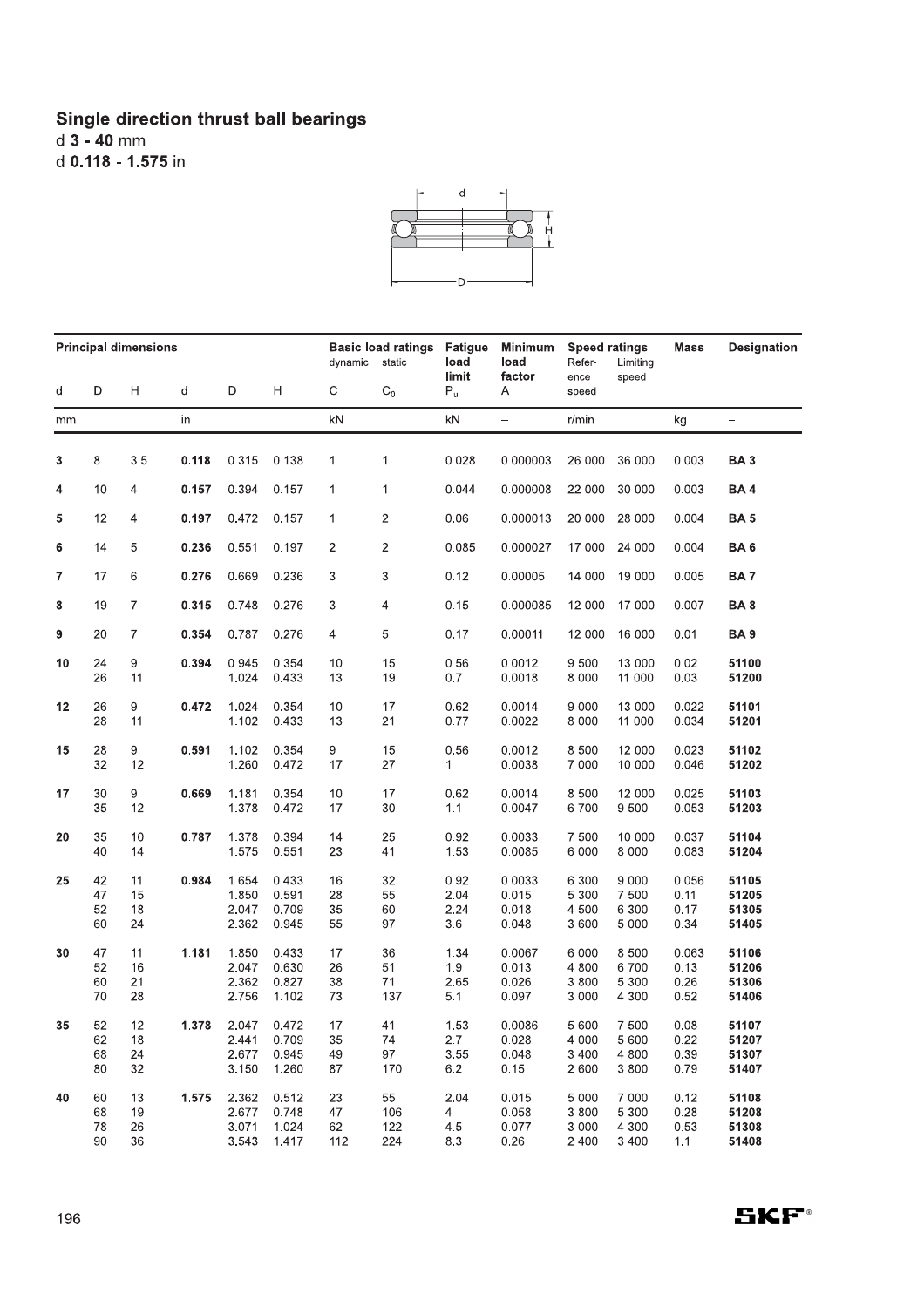## Single direction thrust ball bearings<br> $d$  3 - 40 mm d 0.118 - 1.575 in



| <b>Principal dimensions</b> |                      |                      |       |                                  |                                  | <b>Basic load ratings</b><br>dynamic<br>static |                         | Fatigue<br>load             | <b>Minimum</b><br>load            | <b>Speed ratings</b><br>Refer-<br>Limiting |                                      | Mass                          | <b>Designation</b>               |
|-----------------------------|----------------------|----------------------|-------|----------------------------------|----------------------------------|------------------------------------------------|-------------------------|-----------------------------|-----------------------------------|--------------------------------------------|--------------------------------------|-------------------------------|----------------------------------|
| d                           | D                    | Η                    | d     | D                                | H                                | C                                              | $C_0$                   | limit<br>$P_u$              | factor<br>A                       | ence<br>speed                              | speed                                |                               |                                  |
| mm                          |                      |                      | in    |                                  |                                  | kN                                             |                         | $\mathsf{k}\mathsf{N}$      | $\overline{\phantom{0}}$          | r/min                                      |                                      | kg                            | $\qquad \qquad -$                |
| 3                           | 8                    | 3.5                  | 0.118 | 0.315                            | 0.138                            | 1                                              | 1                       | 0.028                       | 0.000003                          | 26 000                                     | 36 000                               | 0.003                         | BA <sub>3</sub>                  |
| 4                           | 10                   | 4                    | 0.157 | 0.394                            | 0.157                            | $\mathbf{1}$                                   | 1                       | 0.044                       | 0.000008                          | 22 000                                     | 30 000                               | 0.003                         | <b>BA4</b>                       |
| 5                           | 12                   | 4                    | 0.197 | 0.472                            | 0.157                            | 1                                              | $\overline{c}$          | 0.06                        | 0.000013                          | 20 000                                     | 28 000                               | 0.004                         | BA <sub>5</sub>                  |
| 6                           | 14                   | 5                    | 0.236 | 0.551                            | 0.197                            | 2                                              | $\overline{2}$          | 0.085                       | 0.000027                          | 17 000                                     | 24 000                               | 0.004                         | BA6                              |
| 7                           | 17                   | 6                    | 0.276 | 0.669                            | 0.236                            | 3                                              | 3                       | 0.12                        | 0.00005                           | 14 000                                     | 19 000                               | 0.005                         | BA <sub>7</sub>                  |
| 8                           | 19                   | 7                    | 0.315 | 0.748                            | 0.276                            | 3                                              | 4                       | 0.15                        | 0.000085                          | 12 000                                     | 17 000                               | 0.007                         | BA8                              |
| 9                           | 20                   | 7                    | 0.354 | 0.787                            | 0.276                            | 4                                              | 5                       | 0.17                        | 0.00011                           | 12 000                                     | 16 000                               | 0.01                          | <b>BA9</b>                       |
| 10                          | 24<br>26             | 9<br>11              | 0.394 | 0.945<br>1.024                   | 0.354<br>0.433                   | 10<br>13                                       | 15<br>19                | 0.56<br>0.7                 | 0.0012<br>0.0018                  | 9 500<br>8 0 0 0                           | 13 000<br>11 000                     | 0.02<br>0.03                  | 51100<br>51200                   |
| 12                          | 26<br>28             | 9<br>11              | 0.472 | 1.024<br>1.102                   | 0.354<br>0.433                   | 10<br>13                                       | 17<br>21                | 0.62<br>0.77                | 0.0014<br>0.0022                  | 9 0 0 0<br>8 0 0 0                         | 13 000<br>11 000                     | 0.022<br>0.034                | 51101<br>51201                   |
| 15                          | 28<br>32             | 9<br>12              | 0.591 | 1.102<br>1.260                   | 0.354<br>0.472                   | 9<br>17                                        | 15<br>27                | 0.56<br>1                   | 0.0012<br>0.0038                  | 8 500<br>7 0 0 0                           | 12 000<br>10 000                     | 0.023<br>0.046                | 51102<br>51202                   |
| 17                          | 30<br>35             | 9<br>12              | 0.669 | 1.181<br>1.378                   | 0.354<br>0.472                   | 10<br>17                                       | 17<br>30                | 0.62<br>1.1                 | 0.0014<br>0.0047                  | 8 500<br>6700                              | 12 000<br>9 500                      | 0.025<br>0.053                | 51103<br>51203                   |
| 20                          | 35<br>40             | 10<br>14             | 0.787 | 1.378<br>1.575                   | 0.394<br>0.551                   | 14<br>23                                       | 25<br>41                | 0.92<br>1.53                | 0.0033<br>0.0085                  | 7 500<br>6 0 0 0                           | 10 000<br>8 0 0 0                    | 0.037<br>0.083                | 51104<br>51204                   |
| 25                          | 42<br>47<br>52<br>60 | 11<br>15<br>18<br>24 | 0.984 | 1.654<br>1.850<br>2.047<br>2.362 | 0.433<br>0.591<br>0.709<br>0.945 | 16<br>28<br>35<br>55                           | 32<br>55<br>60<br>97    | 0.92<br>2.04<br>2.24<br>3.6 | 0.0033<br>0.015<br>0.018<br>0.048 | 6 300<br>5 3 0 0<br>4 500<br>3 600         | 9 0 0 0<br>7 500<br>6 300<br>5 0 0 0 | 0.056<br>0.11<br>0.17<br>0.34 | 51105<br>51205<br>51305<br>51405 |
| 30                          | 47<br>52<br>60<br>70 | 11<br>16<br>21<br>28 | 1.181 | 1.850<br>2.047<br>2.362<br>2.756 | 0.433<br>0.630<br>0.827<br>1.102 | 17<br>26<br>38<br>73                           | 36<br>51<br>71<br>137   | 1.34<br>1.9<br>2.65<br>5.1  | 0.0067<br>0.013<br>0.026<br>0.097 | 6 0 0 0<br>4 800<br>3 800<br>3 000         | 8 500<br>6700<br>5 300<br>4 300      | 0.063<br>0.13<br>0.26<br>0.52 | 51106<br>51206<br>51306<br>51406 |
| 35                          | 52<br>62<br>68<br>80 | 12<br>18<br>24<br>32 | 1.378 | 2.047<br>2.441<br>2.677<br>3.150 | 0.472<br>0.709<br>0.945<br>1.260 | 17<br>35<br>49<br>87                           | 41<br>74<br>97<br>170   | 1.53<br>2.7<br>3.55<br>6.2  | 0.0086<br>0.028<br>0.048<br>0.15  | 5 600<br>4 0 0 0<br>3 4 0 0<br>2 600       | 7 500<br>5 600<br>4 800<br>3 8 0 0   | 0.08<br>0.22<br>0.39<br>0.79  | 51107<br>51207<br>51307<br>51407 |
| 40                          | 60<br>68<br>78<br>90 | 13<br>19<br>26<br>36 | 1.575 | 2.362<br>2.677<br>3.071<br>3.543 | 0.512<br>0.748<br>1.024<br>1.417 | 23<br>47<br>62<br>112                          | 55<br>106<br>122<br>224 | 2.04<br>4<br>4.5<br>8.3     | 0.015<br>0.058<br>0.077<br>0.26   | 5 0 0 0<br>3 800<br>3 0 0 0<br>2 4 0 0     | 7 000<br>5 300<br>4 3 0 0<br>3 4 0 0 | 0.12<br>0.28<br>0.53<br>1.1   | 51108<br>51208<br>51308<br>51408 |